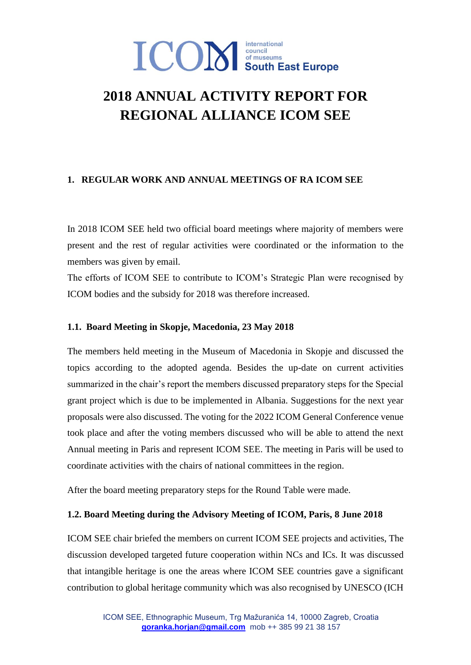## **2018 ANNUAL ACTIVITY REPORT FOR REGIONAL ALLIANCE ICOM SEE**

## **1. REGULAR WORK AND ANNUAL MEETINGS OF RA ICOM SEE**

In 2018 ICOM SEE held two official board meetings where majority of members were present and the rest of regular activities were coordinated or the information to the members was given by email.

The efforts of ICOM SEE to contribute to ICOM's Strategic Plan were recognised by ICOM bodies and the subsidy for 2018 was therefore increased.

## **1.1. Board Meeting in Skopje, Macedonia, 23 May 2018**

The members held meeting in the Museum of Macedonia in Skopje and discussed the topics according to the adopted agenda. Besides the up-date on current activities summarized in the chair's report the members discussed preparatory steps for the Special grant project which is due to be implemented in Albania. Suggestions for the next year proposals were also discussed. The voting for the 2022 ICOM General Conference venue took place and after the voting members discussed who will be able to attend the next Annual meeting in Paris and represent ICOM SEE. The meeting in Paris will be used to coordinate activities with the chairs of national committees in the region.

After the board meeting preparatory steps for the Round Table were made.

#### **1.2. Board Meeting during the Advisory Meeting of ICOM, Paris, 8 June 2018**

ICOM SEE chair briefed the members on current ICOM SEE projects and activities, The discussion developed targeted future cooperation within NCs and ICs. It was discussed that intangible heritage is one the areas where ICOM SEE countries gave a significant contribution to global heritage community which was also recognised by UNESCO (ICH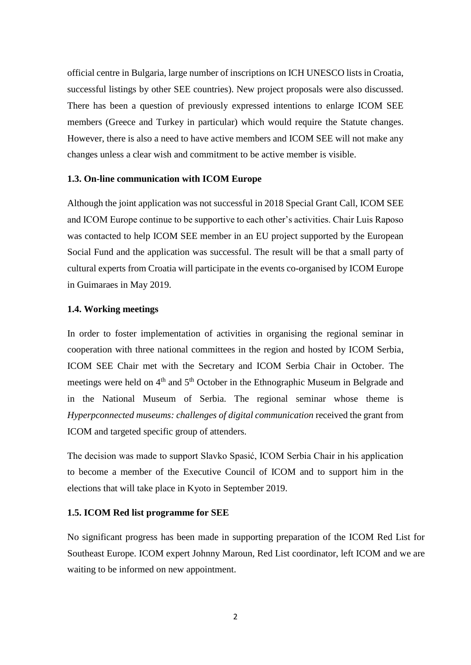official centre in Bulgaria, large number of inscriptions on ICH UNESCO lists in Croatia, successful listings by other SEE countries). New project proposals were also discussed. There has been a question of previously expressed intentions to enlarge ICOM SEE members (Greece and Turkey in particular) which would require the Statute changes. However, there is also a need to have active members and ICOM SEE will not make any changes unless a clear wish and commitment to be active member is visible.

#### **1.3. On-line communication with ICOM Europe**

Although the joint application was not successful in 2018 Special Grant Call, ICOM SEE and ICOM Europe continue to be supportive to each other's activities. Chair Luis Raposo was contacted to help ICOM SEE member in an EU project supported by the European Social Fund and the application was successful. The result will be that a small party of cultural experts from Croatia will participate in the events co-organised by ICOM Europe in Guimaraes in May 2019.

#### **1.4. Working meetings**

In order to foster implementation of activities in organising the regional seminar in cooperation with three national committees in the region and hosted by ICOM Serbia, ICOM SEE Chair met with the Secretary and ICOM Serbia Chair in October. The meetings were held on  $4<sup>th</sup>$  and  $5<sup>th</sup>$  October in the Ethnographic Museum in Belgrade and in the National Museum of Serbia. The regional seminar whose theme is *Hyperpconnected museums: challenges of digital communication* received the grant from ICOM and targeted specific group of attenders.

The decision was made to support Slavko Spasić, ICOM Serbia Chair in his application to become a member of the Executive Council of ICOM and to support him in the elections that will take place in Kyoto in September 2019.

## **1.5. ICOM Red list programme for SEE**

No significant progress has been made in supporting preparation of the ICOM Red List for Southeast Europe. ICOM expert Johnny Maroun, Red List coordinator, left ICOM and we are waiting to be informed on new appointment.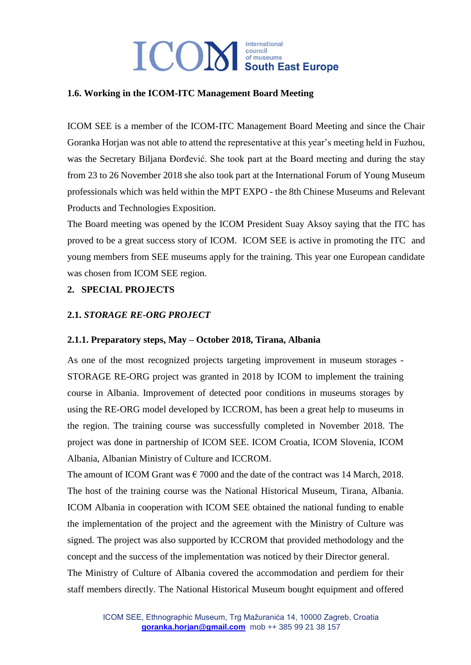## **ICON** South East Europe international

#### **1.6. Working in the ICOM-ITC Management Board Meeting**

ICOM SEE is a member of the ICOM-ITC Management Board Meeting and since the Chair Goranka Horjan was not able to attend the representative at this year's meeting held in Fuzhou, was the Secretary Biljana Đorđević. She took part at the Board meeting and during the stay from 23 to 26 November 2018 she also took part at the International Forum of Young Museum professionals which was held within the MPT EXPO - the 8th Chinese Museums and Relevant Products and Technologies Exposition.

The Board meeting was opened by the ICOM President Suay Aksoy saying that the ITC has proved to be a great success story of ICOM. ICOM SEE is active in promoting the ITC and young members from SEE museums apply for the training. This year one European candidate was chosen from ICOM SEE region.

## **2. SPECIAL PROJECTS**

#### **2.1.** *STORAGE RE-ORG PROJECT*

#### **2.1.1. Preparatory steps, May – October 2018, Tirana, Albania**

As one of the most recognized projects targeting improvement in museum storages - STORAGE RE-ORG project was granted in 2018 by ICOM to implement the training course in Albania. Improvement of detected poor conditions in museums storages by using the RE-ORG model developed by ICCROM, has been a great help to museums in the region. The training course was successfully completed in November 2018. The project was done in partnership of ICOM SEE. ICOM Croatia, ICOM Slovenia, ICOM Albania, Albanian Ministry of Culture and ICCROM.

The amount of ICOM Grant was  $\epsilon$  7000 and the date of the contract was 14 March, 2018. The host of the training course was the National Historical Museum, Tirana, Albania. ICOM Albania in cooperation with ICOM SEE obtained the national funding to enable the implementation of the project and the agreement with the Ministry of Culture was signed. The project was also supported by ICCROM that provided methodology and the concept and the success of the implementation was noticed by their Director general.

The Ministry of Culture of Albania covered the accommodation and perdiem for their staff members directly. The National Historical Museum bought equipment and offered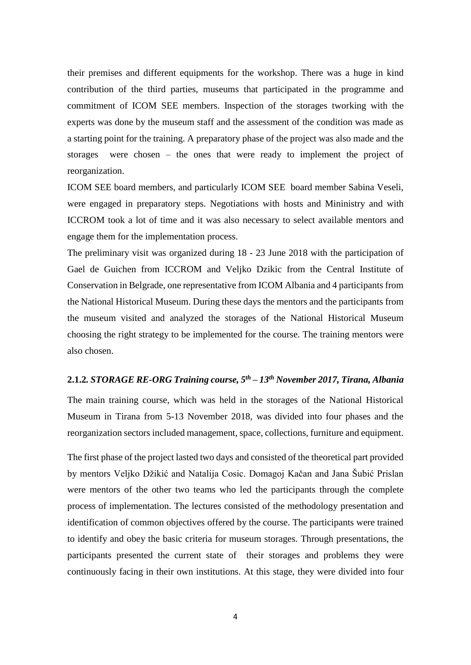their premises and different equipments for the workshop. There was a huge in kind contribution of the third parties, museums that participated in the programme and commitment of ICOM SEE members. Inspection of the storages tworking with the experts was done by the museum staff and the assessment of the condition was made as a starting point for the training. A preparatory phase of the project was also made and the storages were chosen – the ones that were ready to implement the project of reorganization.

ICOM SEE board members, and particularly ICOM SEE board member Sabina Veseli, were engaged in preparatory steps. Negotiations with hosts and Mininistry and with ICCROM took a lot of time and it was also necessary to select available mentors and engage them for the implementation process.

The preliminary visit was organized during 18 - 23 June 2018 with the participation of Gael de Guichen from ICCROM and Veljko Dzikic from the Central Institute of Conservation in Belgrade, one representative from ICOM Albania and 4 participants from the National Historical Museum. During these days the mentors and the participants from the museum visited and analyzed the storages of the National Historical Museum choosing the right strategy to be implemented for the course. The training mentors were also chosen.

#### **2.1.2***. STORAGE RE-ORG Training course, 5 th – 13 th November 2017, Tirana, Albania*

The main training course, which was held in the storages of the National Historical Museum in Tirana from 5-13 November 2018, was divided into four phases and the reorganization sectors included management, space, collections, furniture and equipment.

The first phase of the project lasted two days and consisted of the theoretical part provided by mentors Veljko Džikić and Natalija Cosic. Domagoj Kačan and Jana Šubić Prislan were mentors of the other two teams who led the participants through the complete process of implementation. The lectures consisted of the methodology presentation and identification of common objectives offered by the course. The participants were trained to identify and obey the basic criteria for museum storages. Through presentations, the participants presented the current state of their storages and problems they were continuously facing in their own institutions. At this stage, they were divided into four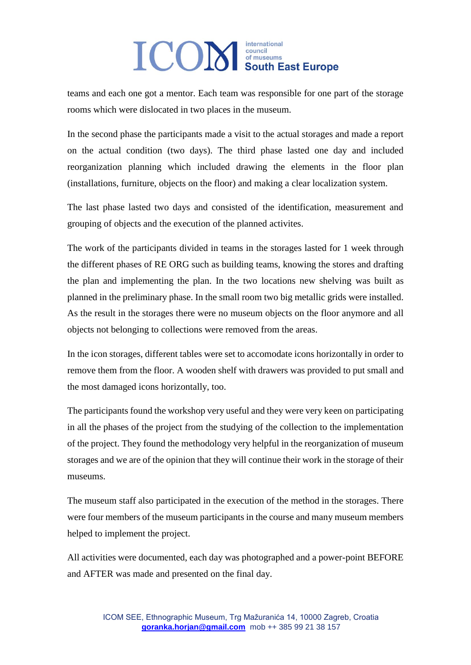teams and each one got a mentor. Each team was responsible for one part of the storage rooms which were dislocated in two places in the museum.

In the second phase the participants made a visit to the actual storages and made a report on the actual condition (two days). The third phase lasted one day and included reorganization planning which included drawing the elements in the floor plan (installations, furniture, objects on the floor) and making a clear localization system.

The last phase lasted two days and consisted of the identification, measurement and grouping of objects and the execution of the planned activites.

The work of the participants divided in teams in the storages lasted for 1 week through the different phases of RE ORG such as building teams, knowing the stores and drafting the plan and implementing the plan. In the two locations new shelving was built as planned in the preliminary phase. In the small room two big metallic grids were installed. As the result in the storages there were no museum objects on the floor anymore and all objects not belonging to collections were removed from the areas.

In the icon storages, different tables were set to accomodate icons horizontally in order to remove them from the floor. A wooden shelf with drawers was provided to put small and the most damaged icons horizontally, too.

The participants found the workshop very useful and they were very keen on participating in all the phases of the project from the studying of the collection to the implementation of the project. They found the methodology very helpful in the reorganization of museum storages and we are of the opinion that they will continue their work in the storage of their museums.

The museum staff also participated in the execution of the method in the storages. There were four members of the museum participants in the course and many museum members helped to implement the project.

All activities were documented, each day was photographed and a power-point BEFORE and AFTER was made and presented on the final day.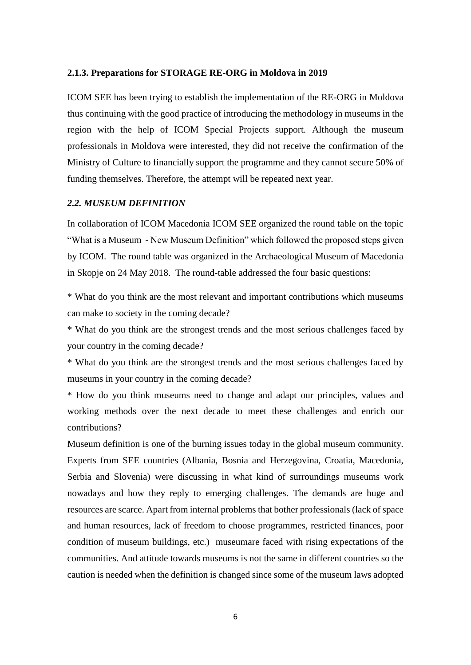#### **2.1.3. Preparations for STORAGE RE-ORG in Moldova in 2019**

ICOM SEE has been trying to establish the implementation of the RE-ORG in Moldova thus continuing with the good practice of introducing the methodology in museums in the region with the help of ICOM Special Projects support. Although the museum professionals in Moldova were interested, they did not receive the confirmation of the Ministry of Culture to financially support the programme and they cannot secure 50% of funding themselves. Therefore, the attempt will be repeated next year.

#### *2.2. MUSEUM DEFINITION*

In collaboration of ICOM Macedonia ICOM SEE organized the round table on the topic "What is a Museum - New Museum Definition" which followed the proposed steps given by ICOM. The round table was organized in the Archaeological Museum of Macedonia in Skopje on 24 May 2018. The round-table addressed the four basic questions:

\* What do you think are the most relevant and important contributions which museums can make to society in the coming decade?

\* What do you think are the strongest trends and the most serious challenges faced by your country in the coming decade?

\* What do you think are the strongest trends and the most serious challenges faced by museums in your country in the coming decade?

\* How do you think museums need to change and adapt our principles, values and working methods over the next decade to meet these challenges and enrich our contributions?

Museum definition is one of the burning issues today in the global museum community. Experts from SEE countries (Albania, Bosnia and Herzegovina, Croatia, Macedonia, Serbia and Slovenia) were discussing in what kind of surroundings museums work nowadays and how they reply to emerging challenges. The demands are huge and resources are scarce. Apart from internal problems that bother professionals (lack of space and human resources, lack of freedom to choose programmes, restricted finances, poor condition of museum buildings, etc.) museumare faced with rising expectations of the communities. And attitude towards museums is not the same in different countries so the caution is needed when the definition is changed since some of the museum laws adopted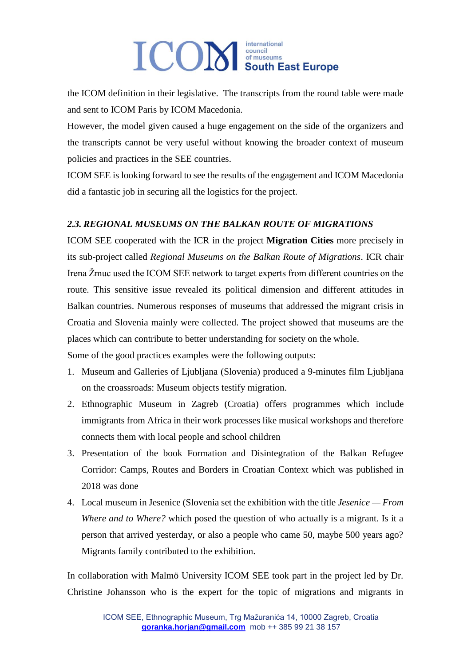the ICOM definition in their legislative. The transcripts from the round table were made and sent to ICOM Paris by ICOM Macedonia.

However, the model given caused a huge engagement on the side of the organizers and the transcripts cannot be very useful without knowing the broader context of museum policies and practices in the SEE countries.

ICOM SEE is looking forward to see the results of the engagement and ICOM Macedonia did a fantastic job in securing all the logistics for the project.

## *2.3. REGIONAL MUSEUMS ON THE BALKAN ROUTE OF MIGRATIONS*

ICOM SEE cooperated with the ICR in the project **Migration Cities** more precisely in its sub-project called *Regional Museums on the Balkan Route of Migrations*. ICR chair Irena Žmuc used the ICOM SEE network to target experts from different countries on the route. This sensitive issue revealed its political dimension and different attitudes in Balkan countries. Numerous responses of museums that addressed the migrant crisis in Croatia and Slovenia mainly were collected. The project showed that museums are the places which can contribute to better understanding for society on the whole.

Some of the good practices examples were the following outputs:

- 1. Museum and Galleries of Ljubljana (Slovenia) produced a 9-minutes film Ljubljana on the croassroads: Museum objects testify migration.
- 2. Ethnographic Museum in Zagreb (Croatia) offers programmes which include immigrants from Africa in their work processes like musical workshops and therefore connects them with local people and school children
- 3. Presentation of the book Formation and Disintegration of the Balkan Refugee Corridor: Camps, Routes and Borders in Croatian Context which was published in 2018 was done
- 4. Local museum in Jesenice (Slovenia set the exhibition with the title *Jesenice — From Where and to Where?* which posed the question of who actually is a migrant. Is it a person that arrived yesterday, or also a people who came 50, maybe 500 years ago? Migrants family contributed to the exhibition.

In collaboration with Malmö University ICOM SEE took part in the project led by Dr. Christine Johansson who is the expert for the topic of migrations and migrants in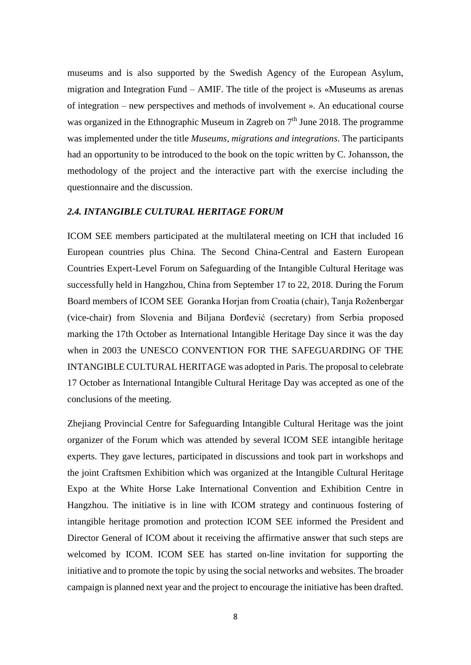museums and is also supported by the Swedish Agency of the European Asylum, migration and Integration Fund – AMIF. The title of the project is «Museums as arenas of integration – new perspectives and methods of involvement ». An educational course was organized in the Ethnographic Museum in Zagreb on  $7<sup>th</sup>$  June 2018. The programme was implemented under the title *Museums, migrations and integrations*. The participants had an opportunity to be introduced to the book on the topic written by C. Johansson, the methodology of the project and the interactive part with the exercise including the questionnaire and the discussion.

#### *2.4. INTANGIBLE CULTURAL HERITAGE FORUM*

ICOM SEE members participated at the multilateral meeting on ICH that included 16 European countries plus China. The Second China-Central and Eastern European Countries Expert-Level Forum on Safeguarding of the Intangible Cultural Heritage was successfully held in Hangzhou, China from September 17 to 22, 2018. During the Forum Board members of ICOM SEE Goranka Horjan from Croatia (chair), Tanja Roženbergar (vice-chair) from Slovenia and Biljana Đorđević (secretary) from Serbia proposed marking the 17th October as International Intangible Heritage Day since it was the day when in 2003 the UNESCO CONVENTION FOR THE SAFEGUARDING OF THE INTANGIBLE CULTURAL HERITAGE was adopted in Paris. The proposal to celebrate 17 October as International Intangible Cultural Heritage Day was accepted as one of the conclusions of the meeting.

Zhejiang Provincial Centre for Safeguarding Intangible Cultural Heritage was the joint organizer of the Forum which was attended by several ICOM SEE intangible heritage experts. They gave lectures, participated in discussions and took part in workshops and the joint Craftsmen Exhibition which was organized at the Intangible Cultural Heritage Expo at the White Horse Lake International Convention and Exhibition Centre in Hangzhou. The initiative is in line with ICOM strategy and continuous fostering of intangible heritage promotion and protection ICOM SEE informed the President and Director General of ICOM about it receiving the affirmative answer that such steps are welcomed by ICOM. ICOM SEE has started on-line invitation for supporting the initiative and to promote the topic by using the social networks and websites. The broader campaign is planned next year and the project to encourage the initiative has been drafted.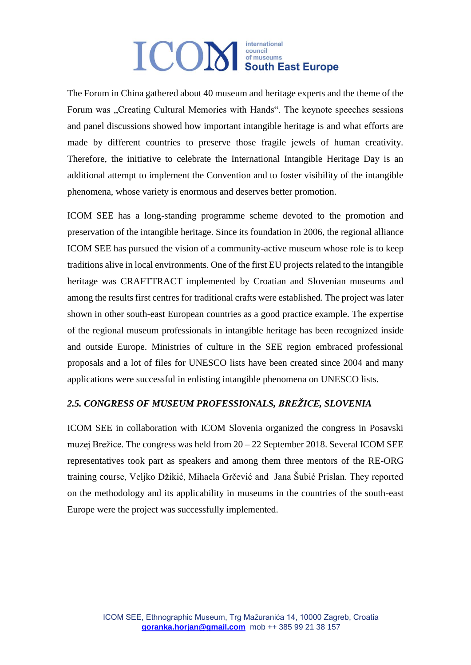The Forum in China gathered about 40 museum and heritage experts and the theme of the Forum was "Creating Cultural Memories with Hands". The keynote speeches sessions and panel discussions showed how important intangible heritage is and what efforts are made by different countries to preserve those fragile jewels of human creativity. Therefore, the initiative to celebrate the International Intangible Heritage Day is an additional attempt to implement the Convention and to foster visibility of the intangible phenomena, whose variety is enormous and deserves better promotion.

ICOM SEE has a long-standing programme scheme devoted to the promotion and preservation of the intangible heritage. Since its foundation in 2006, the regional alliance ICOM SEE has pursued the vision of a community-active museum whose role is to keep traditions alive in local environments. One of the first EU projects related to the intangible heritage was CRAFTTRACT implemented by Croatian and Slovenian museums and among the results first centres for traditional crafts were established. The project was later shown in other south-east European countries as a good practice example. The expertise of the regional museum professionals in intangible heritage has been recognized inside and outside Europe. Ministries of culture in the SEE region embraced professional proposals and a lot of files for UNESCO lists have been created since 2004 and many applications were successful in enlisting intangible phenomena on UNESCO lists.

## *2.5. CONGRESS OF MUSEUM PROFESSIONALS, BREŽICE, SLOVENIA*

ICOM SEE in collaboration with ICOM Slovenia organized the congress in Posavski muzej Brežice. The congress was held from 20 – 22 September 2018. Several ICOM SEE representatives took part as speakers and among them three mentors of the RE-ORG training course, Veljko Džikić, Mihaela Grčević and Jana Šubić Prislan. They reported on the methodology and its applicability in museums in the countries of the south-east Europe were the project was successfully implemented.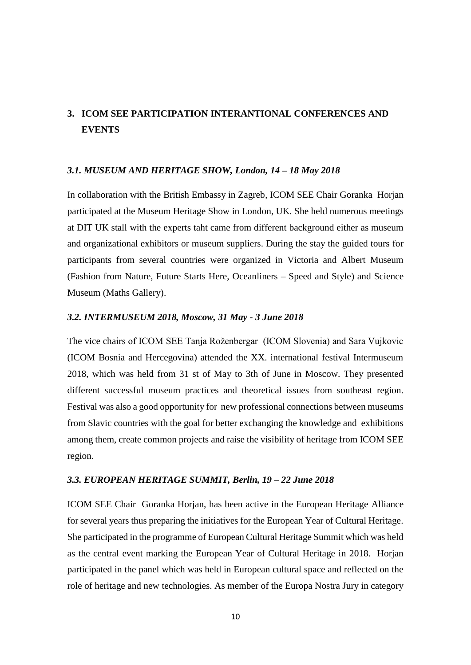## **3. ICOM SEE PARTICIPATION INTERANTIONAL CONFERENCES AND EVENTS**

#### *3.1. MUSEUM AND HERITAGE SHOW, London, 14 – 18 May 2018*

In collaboration with the British Embassy in Zagreb, ICOM SEE Chair Goranka Horjan participated at the Museum Heritage Show in London, UK. She held numerous meetings at DIT UK stall with the experts taht came from different background either as museum and organizational exhibitors or museum suppliers. During the stay the guided tours for participants from several countries were organized in Victoria and Albert Museum (Fashion from Nature, Future Starts Here, Oceanliners – Speed and Style) and Science Museum (Maths Gallery).

#### *3.2. INTERMUSEUM 2018, Moscow, 31 May - 3 June 2018*

The vice chairs of ICOM SEE Tanja Roženbergar (ICOM Slovenia) and Sara Vujkovic (ICOM Bosnia and Hercegovina) attended the XX. international festival Intermuseum 2018, which was held from 31 st of May to 3th of June in Moscow. They presented different successful museum practices and theoretical issues from southeast region. Festival was also a good opportunity for new professional connections between museums from Slavic countries with the goal for better exchanging the knowledge and exhibitions among them, create common projects and raise the visibility of heritage from ICOM SEE region.

#### *3.3. EUROPEAN HERITAGE SUMMIT, Berlin, 19 – 22 June 2018*

ICOM SEE Chair Goranka Horjan, has been active in the European Heritage Alliance for several years thus preparing the initiatives for the European Year of Cultural Heritage. She participated in the programme of European Cultural Heritage Summit which was held as the central event marking the European Year of Cultural Heritage in 2018. Horjan participated in the panel which was held in European cultural space and reflected on the role of heritage and new technologies. As member of the Europa Nostra Jury in category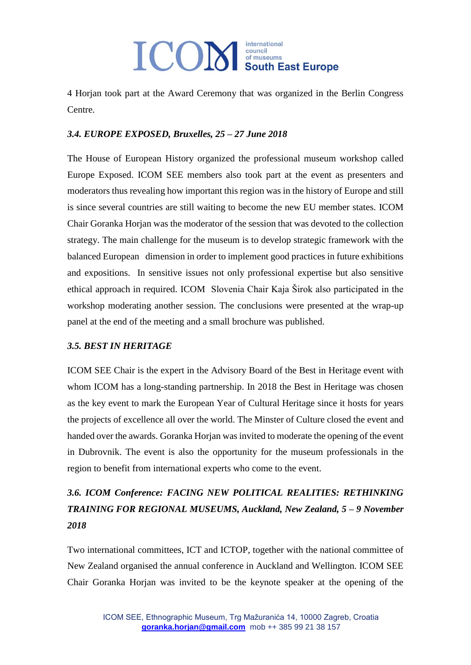4 Horjan took part at the Award Ceremony that was organized in the Berlin Congress Centre.

## *3.4. EUROPE EXPOSED, Bruxelles, 25 – 27 June 2018*

The House of European History organized the professional museum workshop called Europe Exposed. ICOM SEE members also took part at the event as presenters and moderators thus revealing how important this region was in the history of Europe and still is since several countries are still waiting to become the new EU member states. ICOM Chair Goranka Horjan was the moderator of the session that was devoted to the collection strategy. The main challenge for the museum is to develop strategic framework with the balanced European dimension in order to implement good practices in future exhibitions and expositions. In sensitive issues not only professional expertise but also sensitive ethical approach in required. ICOM Slovenia Chair Kaja Širok also participated in the workshop moderating another session. The conclusions were presented at the wrap-up panel at the end of the meeting and a small brochure was published.

## *3.5. BEST IN HERITAGE*

ICOM SEE Chair is the expert in the Advisory Board of the Best in Heritage event with whom ICOM has a long-standing partnership. In 2018 the Best in Heritage was chosen as the key event to mark the European Year of Cultural Heritage since it hosts for years the projects of excellence all over the world. The Minster of Culture closed the event and handed over the awards. Goranka Horjan was invited to moderate the opening of the event in Dubrovnik. The event is also the opportunity for the museum professionals in the region to benefit from international experts who come to the event.

## *3.6. ICOM Conference: FACING NEW POLITICAL REALITIES: RETHINKING TRAINING FOR REGIONAL MUSEUMS, Auckland, New Zealand, 5 – 9 November 2018*

Two international committees, ICT and ICTOP, together with the national committee of New Zealand organised the annual conference in Auckland and Wellington. ICOM SEE Chair Goranka Horjan was invited to be the keynote speaker at the opening of the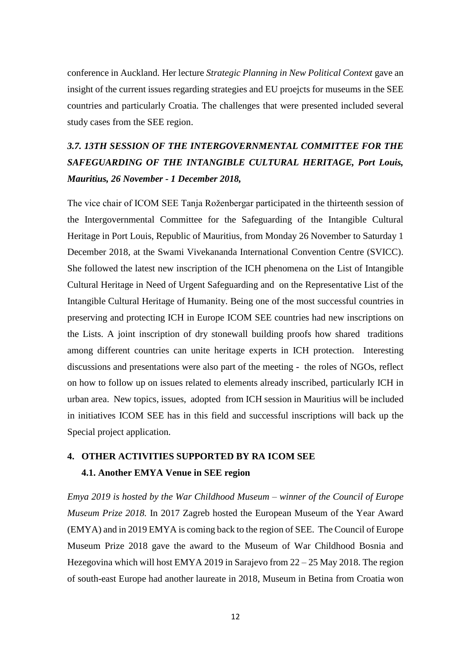conference in Auckland. Her lecture *Strategic Planning in New Political Context* gave an insight of the current issues regarding strategies and EU proejcts for museums in the SEE countries and particularly Croatia. The challenges that were presented included several study cases from the SEE region.

## *3.7. 13TH SESSION OF THE INTERGOVERNMENTAL COMMITTEE FOR THE SAFEGUARDING OF THE INTANGIBLE CULTURAL HERITAGE, Port Louis, Mauritius, 26 November - 1 December 2018,*

The vice chair of ICOM SEE Tanja Roženbergar participated in the thirteenth session of the Intergovernmental Committee for the Safeguarding of the Intangible Cultural Heritage in Port Louis, Republic of Mauritius, from Monday 26 November to Saturday 1 December 2018, at the Swami Vivekananda International Convention Centre (SVICC). She followed the latest new inscription of the ICH phenomena on the List of Intangible Cultural Heritage in Need of Urgent Safeguarding and on the Representative List of the Intangible Cultural Heritage of Humanity. Being one of the most successful countries in preserving and protecting ICH in Europe ICOM SEE countries had new inscriptions on the Lists. A joint inscription of dry stonewall building proofs how shared traditions among different countries can unite heritage experts in ICH protection. Interesting discussions and presentations were also part of the meeting - the roles of NGOs, reflect on how to follow up on issues related to elements already inscribed, particularly ICH in urban area. New topics, issues, adopted from ICH session in Mauritius will be included in initiatives ICOM SEE has in this field and successful inscriptions will back up the Special project application.

## **4. OTHER ACTIVITIES SUPPORTED BY RA ICOM SEE 4.1. Another EMYA Venue in SEE region**

*Emya 2019 is hosted by the War Childhood Museum – winner of the Council of Europe Museum Prize 2018.* In 2017 Zagreb hosted the European Museum of the Year Award (EMYA) and in 2019 EMYA is coming back to the region of SEE. The Council of Europe Museum Prize 2018 gave the award to the Museum of War Childhood Bosnia and Hezegovina which will host EMYA 2019 in Sarajevo from 22 – 25 May 2018. The region of south-east Europe had another laureate in 2018, Museum in Betina from Croatia won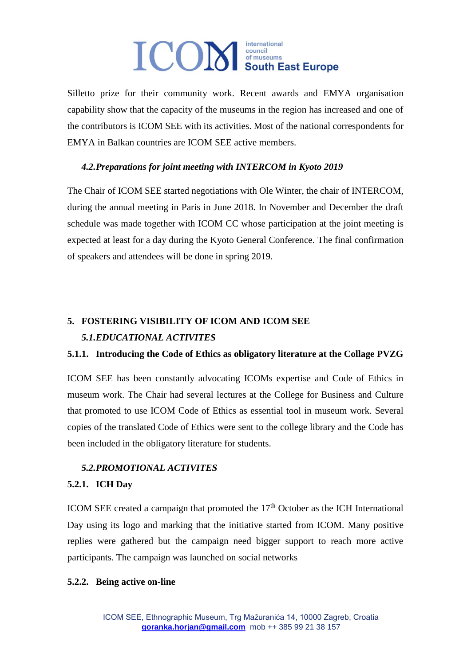Silletto prize for their community work. Recent awards and EMYA organisation capability show that the capacity of the museums in the region has increased and one of the contributors is ICOM SEE with its activities. Most of the national correspondents for EMYA in Balkan countries are ICOM SEE active members.

## *4.2.Preparations for joint meeting with INTERCOM in Kyoto 2019*

The Chair of ICOM SEE started negotiations with Ole Winter, the chair of INTERCOM, during the annual meeting in Paris in June 2018. In November and December the draft schedule was made together with ICOM CC whose participation at the joint meeting is expected at least for a day during the Kyoto General Conference. The final confirmation of speakers and attendees will be done in spring 2019.

## **5. FOSTERING VISIBILITY OF ICOM AND ICOM SEE**  *5.1.EDUCATIONAL ACTIVITES*

## **5.1.1. Introducing the Code of Ethics as obligatory literature at the Collage PVZG**

ICOM SEE has been constantly advocating ICOMs expertise and Code of Ethics in museum work. The Chair had several lectures at the College for Business and Culture that promoted to use ICOM Code of Ethics as essential tool in museum work. Several copies of the translated Code of Ethics were sent to the college library and the Code has been included in the obligatory literature for students.

## *5.2.PROMOTIONAL ACTIVITES*

## **5.2.1. ICH Day**

ICOM SEE created a campaign that promoted the  $17<sup>th</sup>$  October as the ICH International Day using its logo and marking that the initiative started from ICOM. Many positive replies were gathered but the campaign need bigger support to reach more active participants. The campaign was launched on social networks

## **5.2.2. Being active on-line**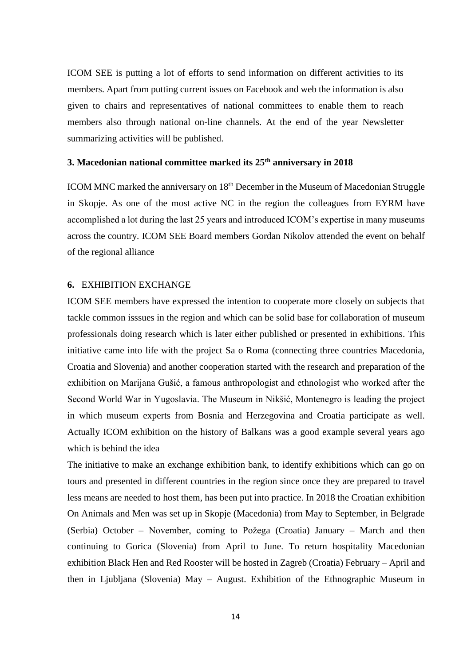ICOM SEE is putting a lot of efforts to send information on different activities to its members. Apart from putting current issues on Facebook and web the information is also given to chairs and representatives of national committees to enable them to reach members also through national on-line channels. At the end of the year Newsletter summarizing activities will be published.

#### **3. Macedonian national committee marked its 25th anniversary in 2018**

ICOM MNC marked the anniversary on 18<sup>th</sup> December in the Museum of Macedonian Struggle in Skopje. As one of the most active NC in the region the colleagues from EYRM have accomplished a lot during the last 25 years and introduced ICOM's expertise in many museums across the country. ICOM SEE Board members Gordan Nikolov attended the event on behalf of the regional alliance

#### **6.** EXHIBITION EXCHANGE

ICOM SEE members have expressed the intention to cooperate more closely on subjects that tackle common isssues in the region and which can be solid base for collaboration of museum professionals doing research which is later either published or presented in exhibitions. This initiative came into life with the project Sa o Roma (connecting three countries Macedonia, Croatia and Slovenia) and another cooperation started with the research and preparation of the exhibition on Marijana Gušić, a famous anthropologist and ethnologist who worked after the Second World War in Yugoslavia. The Museum in Nikšić, Montenegro is leading the project in which museum experts from Bosnia and Herzegovina and Croatia participate as well. Actually ICOM exhibition on the history of Balkans was a good example several years ago which is behind the idea

The initiative to make an exchange exhibition bank, to identify exhibitions which can go on tours and presented in different countries in the region since once they are prepared to travel less means are needed to host them, has been put into practice. In 2018 the Croatian exhibition On Animals and Men was set up in Skopje (Macedonia) from May to September, in Belgrade (Serbia) October – November, coming to Požega (Croatia) January – March and then continuing to Gorica (Slovenia) from April to June. To return hospitality Macedonian exhibition Black Hen and Red Rooster will be hosted in Zagreb (Croatia) February – April and then in Ljubljana (Slovenia) May – August. Exhibition of the Ethnographic Museum in